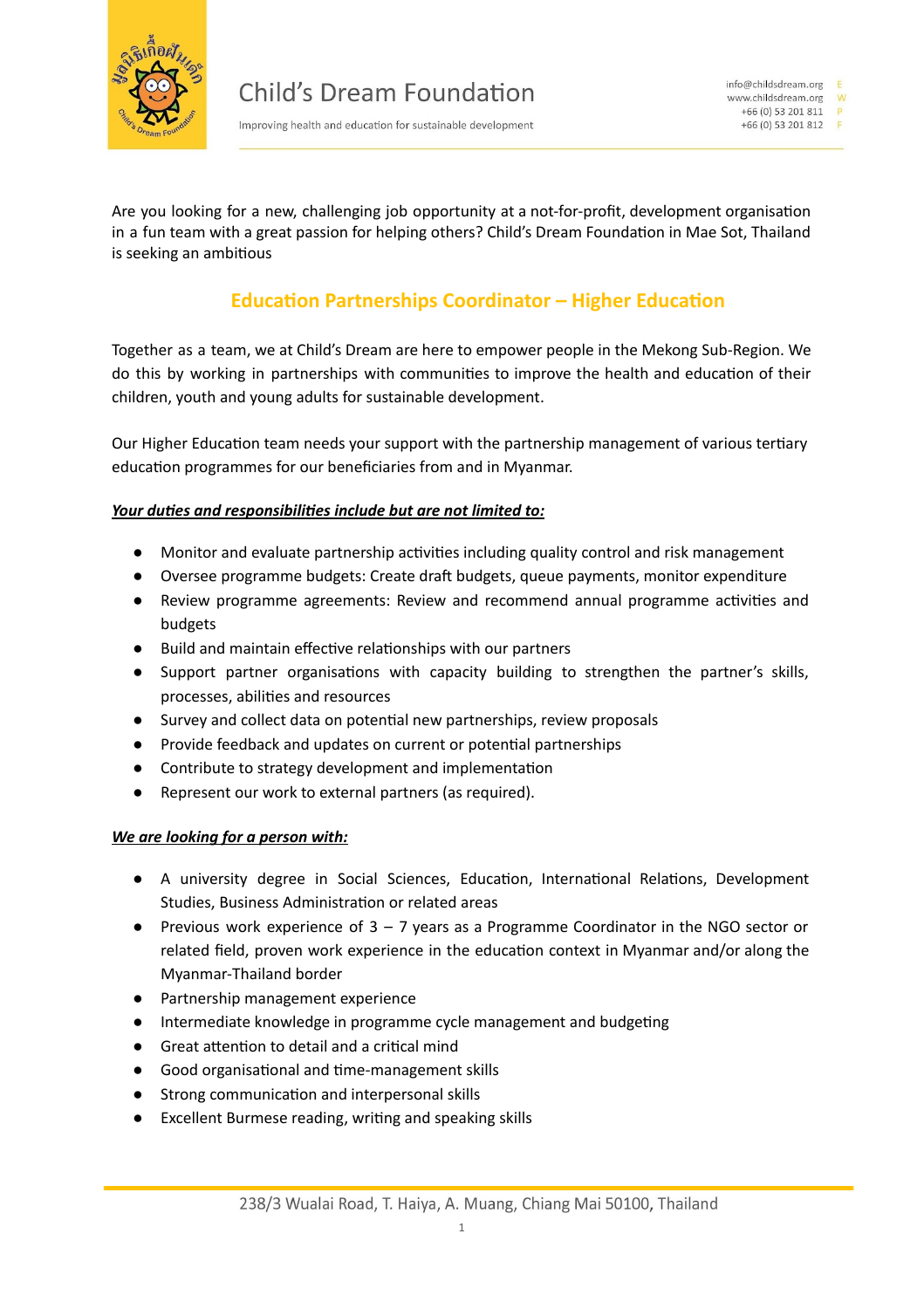

Improving health and education for sustainable development

Are you looking for a new, challenging job opportunity at a not-for-profit, development organisation in a fun team with a great passion for helping others? Child's Dream Foundation in Mae Sot, Thailand is seeking an ambitious

## **Education Partnerships Coordinator – Higher Education**

Together as a team, we at Child's Dream are here to empower people in the Mekong Sub-Region. We do this by working in partnerships with communities to improve the health and education of their children, youth and young adults for sustainable development.

Our Higher Education team needs your support with the partnership management of various tertiary education programmes for our beneficiaries from and in Myanmar.

## *Your* duties and responsibilities include but are not limited to:

- Monitor and evaluate partnership activities including quality control and risk management
- Oversee programme budgets: Create draft budgets, queue payments, monitor expenditure
- Review programme agreements: Review and recommend annual programme activities and budgets
- Build and maintain effective relationships with our partners
- Support partner organisations with capacity building to strengthen the partner's skills, processes, abilities and resources
- Survey and collect data on potential new partnerships, review proposals
- Provide feedback and updates on current or potential partnerships
- Contribute to strategy development and implementation
- Represent our work to external partners (as required).

## *We are looking for a person with:*

- A university degree in Social Sciences, Education, International Relations, Development Studies, Business Administration or related areas
- Previous work experience of 3 7 years as a Programme Coordinator in the NGO sector or related field, proven work experience in the education context in Myanmar and/or along the Myanmar-Thailand border
- Partnership management experience
- Intermediate knowledge in programme cycle management and budgeting
- Great attention to detail and a critical mind
- Good organisational and time-management skills
- Strong communication and interpersonal skills
- Excellent Burmese reading, writing and speaking skills